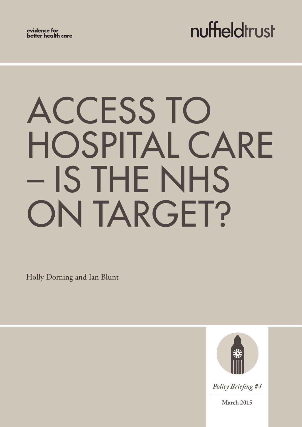evidence for better health care

## nuffieldtrust

# ACCESS TO HOSPITAL CARE – IS THE NHS ON TARGET?

Holly Dorning and Ian Blunt



*Policy Briefing #4*

**March 2015**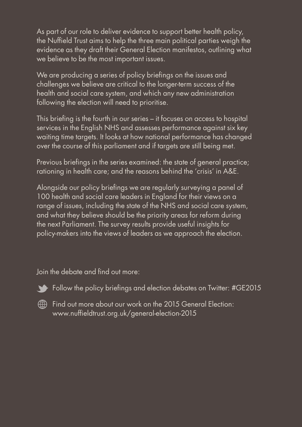As part of our role to deliver evidence to support better health policy, the Nuffield Trust aims to help the three main political parties weigh the evidence as they draft their General Election manifestos, outlining what we believe to be the most important issues.

We are producing a series of policy briefings on the issues and challenges we believe are critical to the longer‑term success of the health and social care system, and which any new administration following the election will need to prioritise.

This briefing is the fourth in our series – it focuses on access to hospital services in the English NHS and assesses performance against six key waiting time targets. It looks at how national performance has changed over the course of this parliament and if targets are still being met.

Previous briefings in the series examined: the state of general practice; rationing in health care; and the reasons behind the 'crisis' in A&E.

Alongside our policy briefings we are regularly surveying a panel of 100 health and social care leaders in England for their views on a range of issues, including the state of the NHS and social care system, and what they believe should be the priority areas for reform during the next Parliament. The survey results provide useful insights for policy-makers into the views of leaders as we approach the election.

Join the debate and find out more:



Follow the policy briefings and election debates on Twitter: #GE2015



Find out more about our work on the 2015 General Election: <www.nuffieldtrust.org.uk/general-election-2015>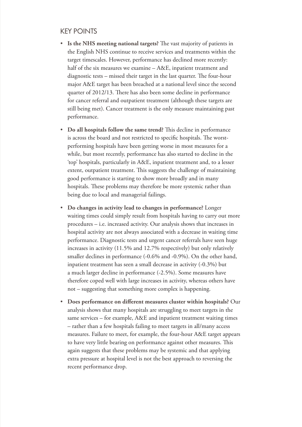#### KEY POINTS

- **Is the NHS meeting national targets?** The vast majority of patients in the English NHS continue to receive services and treatments within the target timescales. However, performance has declined more recently: half of the six measures we examine - A&E, inpatient treatment and diagnostic tests – missed their target in the last quarter. The four-hour major A&E target has been breached at a national level since the second quarter of 2012/13. There has also been some decline in performance for cancer referral and outpatient treatment (although these targets are still being met). Cancer treatment is the only measure maintaining past performance.
- **Do all hospitals follow the same trend?** This decline in performance is across the board and not restricted to specific hospitals. The worstperforming hospitals have been getting worse in most measures for a while, but most recently, performance has also started to decline in the 'top' hospitals, particularly in A&E, inpatient treatment and, to a lesser extent, outpatient treatment. This suggests the challenge of maintaining good performance is starting to show more broadly and in many hospitals. These problems may therefore be more systemic rather than being due to local and managerial failings.
- **Do changes in activity lead to changes in performance?** Longer waiting times could simply result from hospitals having to carry out more procedures – i.e. increased activity. Our analysis shows that increases in hospital activity are not always associated with a decrease in waiting time performance. Diagnostic tests and urgent cancer referrals have seen huge increases in activity (11.5% and 12.7% respectively) but only relatively smaller declines in performance (-0.6% and -0.9%). On the other hand, inpatient treatment has seen a small decrease in activity (-0.3%) but a much larger decline in performance (-2.5%). Some measures have therefore coped well with large increases in activity, whereas others have not – suggesting that something more complex is happening.
- **Does performance on different measures cluster within hospitals?** Our analysis shows that many hospitals are struggling to meet targets in the same services – for example, A&E and inpatient treatment waiting times – rather than a few hospitals failing to meet targets in all/many access measures. Failure to meet, for example, the four-hour A&E target appears to have very little bearing on performance against other measures. This again suggests that these problems may be systemic and that applying extra pressure at hospital level is not the best approach to reversing the recent performance drop.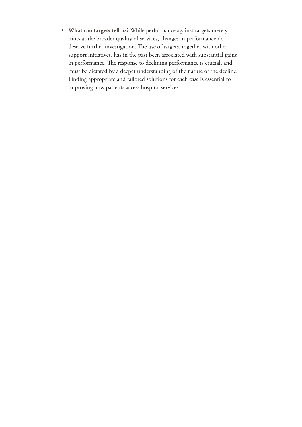• **What can targets tell us?** While performance against targets merely hints at the broader quality of services, changes in performance do deserve further investigation. The use of targets, together with other support initiatives, has in the past been associated with substantial gains in performance. The response to declining performance is crucial, and must be dictated by a deeper understanding of the nature of the decline. Finding appropriate and tailored solutions for each case is essential to improving how patients access hospital services.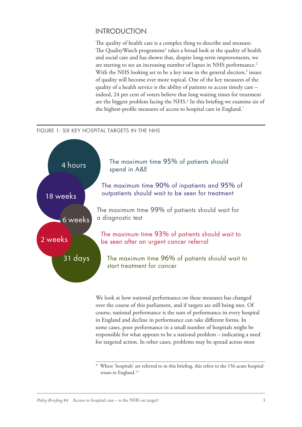#### INTRODUCTION

The quality of health care is a complex thing to describe and measure. The QualityWatch programme<sup>1</sup> takes a broad look at the quality of health and social care and has shown that, despite long-term improvements, we are starting to see an increasing number of lapses in NHS performance.<sup>2</sup> With the NHS looking set to be a key issue in the general election,<sup>3</sup> issues of quality will become ever more topical. One of the key measures of the quality of a health service is the ability of patients to access timely care – indeed, 24 per cent of voters believe that long waiting times for treatment are the biggest problem facing the NHS.<sup>4</sup> In this briefing we examine six of the highest-profile measures of access to hospital care in England.\*

#### FIGURE 1: SIX KEY HOSPITAL TARGETS IN THE NHS



We look at how national performance on these measures has changed over the course of this parliament, and if targets are still being met. Of course, national performance is the sum of performance in every hospital in England and decline in performance can take different forms. In some cases, poor performance in a small number of hospitals might be responsible for what appears to be a national problem – indicating a need for targeted action. In other cases, problems may be spread across most

Where 'hospitals' are referred to in this briefing, this refers to the 156 acute hospital trusts in England.13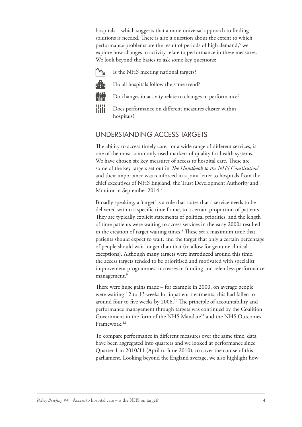hospitals – which suggests that a more universal approach to finding solutions is needed. There is also a question about the extent to which performance problems are the result of periods of high demand;<sup>5</sup> we explore how changes in activity relate to performance in these measures. We look beyond the basics to ask some key questions:

Is the NHS meeting national targets?

нĦ Do all hospitals follow the same trend?

- 
- Do changes in activity relate to changes in performance?
- - **Hill** Does performance on different measures cluster within hospitals?

#### UNDERSTANDING ACCESS TARGETS

The ability to access timely care, for a wide range of different services, is one of the most commonly used markers of quality for health systems. We have chosen six key measures of access to hospital care. These are some of the key targets set out in *The Handbook to the NHS Constitution6* and their importance was reinforced in a joint letter to hospitals from the chief executives of NHS England, the Trust Development Authority and Monitor in September 2014.7

Broadly speaking, a 'target' is a rule that states that a service needs to be delivered within a specific time frame, to a certain proportion of patients. They are typically explicit statements of political priorities, and the length of time patients were waiting to access services in the early 2000s resulted in the creation of target waiting times.<sup>8</sup> These set a maximum time that patients should expect to wait, and the target that only a certain percentage of people should wait longer than that (to allow for genuine clinical exceptions). Although many targets were introduced around this time, the access targets tended to be prioritised and motivated with specialist improvement programmes, increases in funding and relentless performance management.<sup>9</sup>

There were huge gains made – for example in 2000, on average people were waiting 12 to 13 weeks for inpatient treatments; this had fallen to around four to five weeks by 2008.10 The principle of accountability and performance management through targets was continued by the Coalition Government in the form of the NHS Mandate<sup>11</sup> and the NHS Outcomes Framework.<sup>12</sup>

To compare performance in different measures over the same time, data have been aggregated into quarters and we looked at performance since Quarter 1 in 2010/11 (April to June 2010), to cover the course of this parliament. Looking beyond the England average, we also highlight how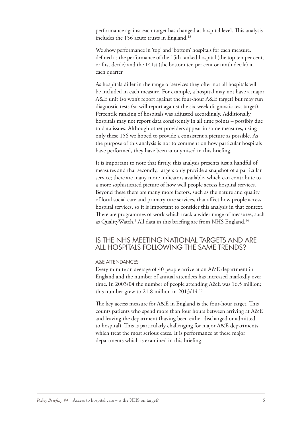performance against each target has changed at hospital level. This analysis includes the 156 acute trusts in England.<sup>13</sup>

We show performance in 'top' and 'bottom' hospitals for each measure, defined as the performance of the 15th ranked hospital (the top ten per cent, or first decile) and the 141st (the bottom ten per cent or ninth decile) in each quarter.

As hospitals differ in the range of services they offer not all hospitals will be included in each measure. For example, a hospital may not have a major A&E unit (so won't report against the four-hour A&E target) but may run diagnostic tests (so will report against the six-week diagnostic test target). Percentile ranking of hospitals was adjusted accordingly. Additionally, hospitals may not report data consistently in all time points – possibly due to data issues. Although other providers appear in some measures, using only these 156 we hoped to provide a consistent a picture as possible. As the purpose of this analysis is not to comment on how particular hospitals have performed, they have been anonymised in this briefing.

It is important to note that firstly, this analysis presents just a handful of measures and that secondly, targets only provide a snapshot of a particular service; there are many more indicators available, which can contribute to a more sophisticated picture of how well people access hospital services. Beyond these there are many more factors, such as the nature and quality of local social care and primary care services, that affect how people access hospital services, so it is important to consider this analysis in that context. There are programmes of work which track a wider range of measures, such as QualityWatch.<sup>1</sup> All data in this briefing are from NHS England.<sup>14</sup>

#### IS THE NHS MEETING NATIONAL TARGETS AND ARE ALL HOSPITALS FOLLOWING THE SAME TRENDS?

#### A&E ATTENDANCES

Every minute an average of 40 people arrive at an A&E department in England and the number of annual attendees has increased markedly over time. In 2003/04 the number of people attending A&E was 16.5 million; this number grew to 21.8 million in 2013/14.15

The key access measure for A&E in England is the four-hour target. This counts patients who spend more than four hours between arriving at A&E and leaving the department (having been either discharged or admitted to hospital). This is particularly challenging for major A&E departments, which treat the most serious cases. It is performance at these major departments which is examined in this briefing.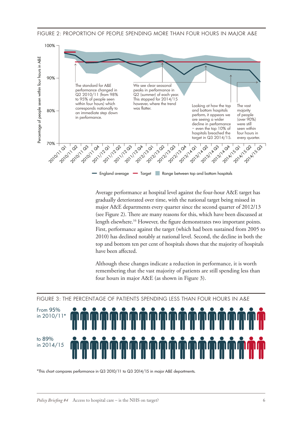



Average performance at hospital level against the four-hour A&E target has gradually deteriorated over time, with the national target being missed in major A&E departments every quarter since the second quarter of 2012/13 (see Figure 2). There are many reasons for this, which have been discussed at length elsewhere.16 However, the figure demonstrates two important points. First, performance against the target (which had been sustained from 2005 to 2010) has declined notably at national level. Second, the decline in both the top and bottom ten per cent of hospitals shows that the majority of hospitals have been affected.

Although these changes indicate a reduction in performance, it is worth remembering that the vast majority of patients are still spending less than four hours in major A&E (as shown in Figure 3).



FIGURE 3: THE PERCENTAGE OF PATIENTS SPENDING LESS THAN FOUR HOURS IN A&E

 $^*$ This chart compares performance in Q3 2010/11 to Q3 2014/15 in major A&E departments.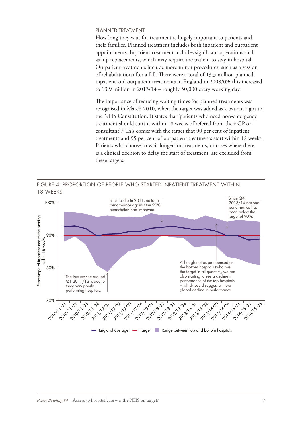#### PLANNED TREATMENT

How long they wait for treatment is hugely important to patients and their families. Planned treatment includes both inpatient and outpatient appointments. Inpatient treatment includes significant operations such as hip replacements, which may require the patient to stay in hospital. Outpatient treatments include more minor procedures, such as a session of rehabilitation after a fall. There were a total of 13.3 million planned inpatient and outpatient treatments in England in 2008/09; this increased to 13.9 million in  $2013/14$  – roughly 50,000 every working day.

The importance of reducing waiting times for planned treatments was recognised in March 2010, when the target was added as a patient right to the NHS Constitution. It states that 'patients who need non-emergency treatment should start it within 18 weeks of referral from their GP or consultant'.6 This comes with the target that 90 per cent of inpatient treatments and 95 per cent of outpatient treatments start within 18 weeks. Patients who choose to wait longer for treatments, or cases where there is a clinical decision to delay the start of treatment, are excluded from these targets.



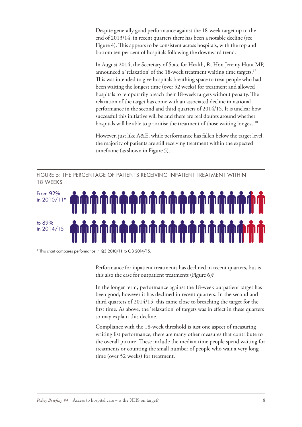Despite generally good performance against the 18-week target up to the end of 2013/14, in recent quarters there has been a notable decline (see Figure 4). This appears to be consistent across hospitals, with the top and bottom ten per cent of hospitals following the downward trend.

In August 2014, the Secretary of State for Health, Rt Hon Jeremy Hunt MP, announced a 'relaxation' of the 18-week treatment waiting time targets.<sup>17</sup> This was intended to give hospitals breathing space to treat people who had been waiting the longest time (over 52 weeks) for treatment and allowed hospitals to temporarily breach their 18-week targets without penalty. The relaxation of the target has come with an associated decline in national performance in the second and third quarters of 2014/15. It is unclear how successful this initiative will be and there are real doubts around whether hospitals will be able to prioritise the treatment of those waiting longest.<sup>18</sup>

However, just like A&E, while performance has fallen below the target level, the majority of patients are still receiving treatment within the expected timeframe (as shown in Figure 5).

FIGURE 5: THE PERCENTAGE OF PATIENTS RECEIVING INPATIENT TREATMENT WITHIN 18 WEEKS



\* This chart compares performance in Q3 2010/11 to Q3 2014/15.

Performance for inpatient treatments has declined in recent quarters, but is this also the case for outpatient treatments (Figure 6)?

In the longer term, performance against the 18-week outpatient target has been good; however it has declined in recent quarters. In the second and third quarters of 2014/15, this came close to breaching the target for the first time. As above, the 'relaxation' of targets was in effect in these quarters so may explain this decline.

Compliance with the 18-week threshold is just one aspect of measuring waiting list performance; there are many other measures that contribute to the overall picture. These include the median time people spend waiting for treatments or counting the small number of people who wait a very long time (over 52 weeks) for treatment.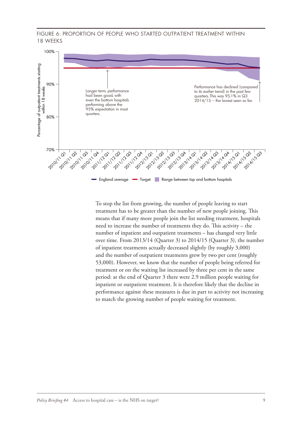FIGURE 6: PROPORTION OF PEOPLE WHO STARTED OUTPATIENT TREATMENT WITHIN 18 WEEKS



To stop the list from growing, the number of people leaving to start treatment has to be greater than the number of new people joining. This means that if many more people join the list needing treatment, hospitals need to increase the number of treatments they do. This activity – the number of inpatient and outpatient treatments – has changed very little over time. From 2013/14 (Quarter 3) to 2014/15 (Quarter 3), the number of inpatient treatments actually decreased slightly (by roughly 3,000) and the number of outpatient treatments grew by two per cent (roughly 53,000). However, we know that the number of people being referred for treatment or on the waiting list increased by three per cent in the same period: at the end of Quarter 3 there were 2.9 million people waiting for inpatient or outpatient treatment. It is therefore likely that the decline in performance against these measures is due in part to activity not increasing to match the growing number of people waiting for treatment.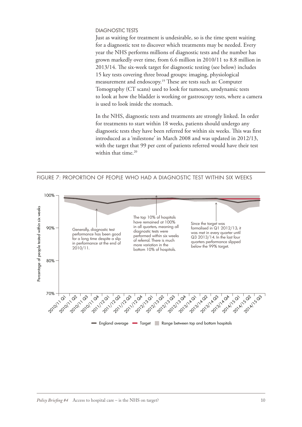#### DIAGNOSTIC TESTS

Just as waiting for treatment is undesirable, so is the time spent waiting for a diagnostic test to discover which treatments may be needed. Every year the NHS performs millions of diagnostic tests and the number has grown markedly over time, from 6.6 million in 2010/11 to 8.8 million in 2013/14. The six-week target for diagnostic testing (see below) includes 15 key tests covering three broad groups: imaging, physiological measurement and endoscopy.19 These are tests such as: Computer Tomography (CT scans) used to look for tumours, urodynamic tests to look at how the bladder is working or gastroscopy tests, where a camera is used to look inside the stomach.

In the NHS, diagnostic tests and treatments are strongly linked. In order for treatments to start within 18 weeks, patients should undergo any diagnostic tests they have been referred for within six weeks. This was first introduced as a 'milestone' in March 2008 and was updated in 2012/13, with the target that 99 per cent of patients referred would have their test within that time.<sup>20</sup>



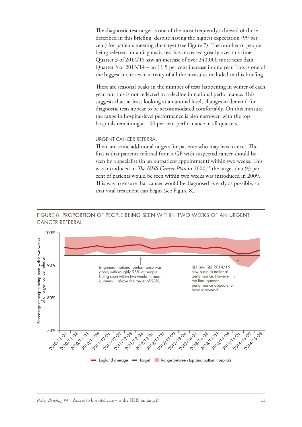The diagnostic test target is one of the most frequently achieved of those described in this briefing, despite having the highest expectation (99 per cent) for patients meeting the target (see Figure 7). The number of people being referred for a diagnostic test has increased greatly over this time. Quarter 3 of 2014/15 saw an increase of over 240,000 more tests than Quarter 3 of 2013/14 – an 11.5 per cent increase in one year. This is one of the biggest increases in activity of all the measures included in this briefing.

There are seasonal peaks in the number of tests happening in winter of each year, but this is not reflected in a decline in national performance. This suggests that, at least looking at a national level, changes in demand for diagnostic tests appear to be accommodated comfortably. On this measure the range in hospital-level performance is also narrower, with the top hospitals remaining at 100 per cent performance in all quarters.

#### URGENT CANCER REFERRAL

There are some additional targets for patients who may have cancer. The first is that patients referred from a GP with suspected cancer should be seen by a specialist (in an outpatient appointment) within two weeks. This was introduced in *The NHS Cancer Plan* in 2000;<sup>21</sup> the target that 93 per cent of patients would be seen within two weeks was introduced in 2009. This was to ensure that cancer would be diagnosed as early as possible, so that vital treatment can begin (see Figure 8).

#### FIGURE 8: PROPORTION OF PEOPLE BEING SEEN WITHIN TWO WEEKS OF AN URGENT CANCER REFERRAL

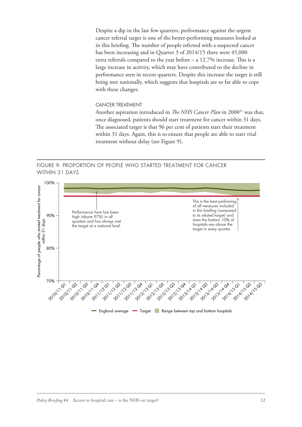Despite a dip in the last few quarters, performance against the urgent cancer referral target is one of the better-performing measures looked at in this briefing. The number of people referred with a suspected cancer has been increasing and in Quarter 3 of 2014/15 there were 45,000 extra referrals compared to the year before – a 12.7% increase. This is a large increase in activity, which may have contributed to the decline in performance seen in recent quarters. Despite this increase the target is still being met nationally, which suggests that hospitals are so far able to cope with these changes.

#### CANCER TREATMENT

Another aspiration introduced in *The NHS Cancer Plan* in 2000<sup>21</sup> was that, once diagnosed, patients should start treatment for cancer within 31 days. The associated target is that 96 per cent of patients start their treatment within 31 days. Again, this is to ensure that people are able to start vital treatment without delay (see Figure 9).

FIGURE 9: PROPORTION OF PEOPLE WHO STARTED TREATMENT FOR CANCER WITHIN 31 DAYS

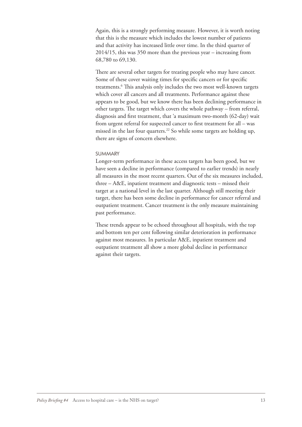Again, this is a strongly performing measure. However, it is worth noting that this is the measure which includes the lowest number of patients and that activity has increased little over time. In the third quarter of 2014/15, this was 350 more than the previous year – increasing from 68,780 to 69,130.

There are several other targets for treating people who may have cancer. Some of these cover waiting times for specific cancers or for specific treatments.6 This analysis only includes the two most well-known targets which cover all cancers and all treatments. Performance against these appears to be good, but we know there has been declining performance in other targets. The target which covers the whole pathway – from referral, diagnosis and first treatment, that 'a maximum two-month (62-day) wait from urgent referral for suspected cancer to first treatment for all – was missed in the last four quarters.<sup>22</sup> So while some targets are holding up, there are signs of concern elsewhere.

#### SUMMARY

Longer-term performance in these access targets has been good, but we have seen a decline in performance (compared to earlier trends) in nearly all measures in the most recent quarters. Out of the six measures included, three – A&E, inpatient treatment and diagnostic tests – missed their target at a national level in the last quarter. Although still meeting their target, there has been some decline in performance for cancer referral and outpatient treatment. Cancer treatment is the only measure maintaining past performance.

These trends appear to be echoed throughout all hospitals, with the top and bottom ten per cent following similar deterioration in performance against most measures. In particular A&E, inpatient treatment and outpatient treatment all show a more global decline in performance against their targets.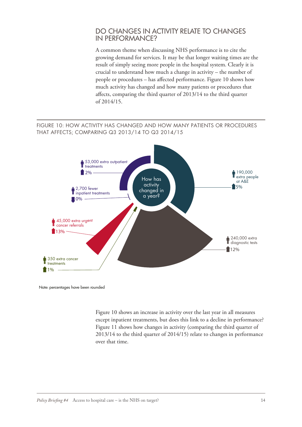#### DO CHANGES IN ACTIVITY RELATE TO CHANGES IN PERFORMANCE?

A common theme when discussing NHS performance is to cite the growing demand for services. It may be that longer waiting times are the result of simply seeing more people in the hospital system. Clearly it is crucial to understand how much a change in activity – the number of people or procedures – has affected performance. Figure 10 shows how much activity has changed and how many patients or procedures that affects, comparing the third quarter of 2013/14 to the third quarter of 2014/15.

#### FIGURE 10: HOW ACTIVITY HAS CHANGED AND HOW MANY PATIENTS OR PROCEDURES THAT AFFECTS; COMPARING Q3 2013/14 TO Q3 2014/15



Note: percentages have been rounded

Figure 10 shows an increase in activity over the last year in all measures except inpatient treatments, but does this link to a decline in performance? Figure 11 shows how changes in activity (comparing the third quarter of 2013/14 to the third quarter of 2014/15) relate to changes in performance over that time.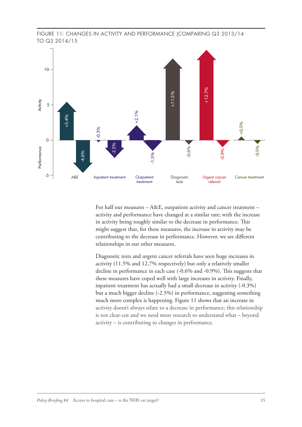



For half our measures – A&E, outpatient activity and cancer treatment – activity and performance have changed at a similar rate; with the increase in activity being roughly similar to the decrease in performance. This might suggest that, for these measures, the increase in activity may be contributing to the decrease in performance. However, we see different relationships in our other measures.

Diagnostic tests and urgent cancer referrals have seen huge increases in activity (11.5% and 12.7% respectively) but only a relatively smaller decline in performance in each case (-0.6% and -0.9%). This suggests that these measures have coped well with large increases in activity. Finally, inpatient treatment has actually had a small decrease in activity (-0.3%) but a much bigger decline (-2.5%) in performance, suggesting something much more complex is happening. Figure 11 shows that an increase in activity doesn't always relate to a decrease in performance; this relationship is not clear-cut and we need more research to understand what – beyond activity – is contributing to changes in performance.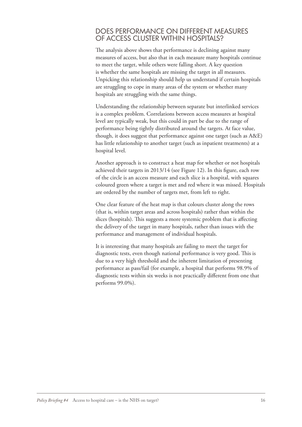#### DOES PERFORMANCE ON DIFFERENT MEASURES OF ACCESS CLUSTER WITHIN HOSPITALS?

The analysis above shows that performance is declining against many measures of access, but also that in each measure many hospitals continue to meet the target, while others were falling short. A key question is whether the same hospitals are missing the target in all measures. Unpicking this relationship should help us understand if certain hospitals are struggling to cope in many areas of the system or whether many hospitals are struggling with the same things.

Understanding the relationship between separate but interlinked services is a complex problem. Correlations between access measures at hospital level are typically weak, but this could in part be due to the range of performance being tightly distributed around the targets. At face value, though, it does suggest that performance against one target (such as A&E) has little relationship to another target (such as inpatient treatments) at a hospital level.

Another approach is to construct a heat map for whether or not hospitals achieved their targets in 2013/14 (see Figure 12). In this figure, each row of the circle is an access measure and each slice is a hospital, with squares coloured green where a target is met and red where it was missed. Hospitals are ordered by the number of targets met, from left to right.

One clear feature of the heat map is that colours cluster along the rows (that is, within target areas and across hospitals) rather than within the slices (hospitals). This suggests a more systemic problem that is affecting the delivery of the target in many hospitals, rather than issues with the performance and management of individual hospitals.

It is interesting that many hospitals are failing to meet the target for diagnostic tests, even though national performance is very good. This is due to a very high threshold and the inherent limitation of presenting performance as pass/fail (for example, a hospital that performs 98.9% of diagnostic tests within six weeks is not practically different from one that performs 99.0%).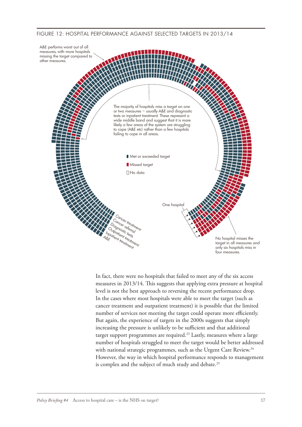#### FIGURE 12: HOSPITAL PERFORMANCE AGAINST SELECTED TARGETS IN 2013/14



In fact, there were no hospitals that failed to meet any of the six access measures in 2013/14. This suggests that applying extra pressure at hospital level is not the best approach to reversing the recent performance drop. In the cases where most hospitals were able to meet the target (such as cancer treatment and outpatient treatment) it is possible that the limited number of services not meeting the target could operate more efficiently. But again, the experience of targets in the 2000s suggests that simply increasing the pressure is unlikely to be sufficient and that additional target support programmes are required.<sup>23</sup> Lastly, measures where a large number of hospitals struggled to meet the target would be better addressed with national strategic programmes, such as the Urgent Care Review.<sup>24</sup> However, the way in which hospital performance responds to management is complex and the subject of much study and debate.<sup>25</sup>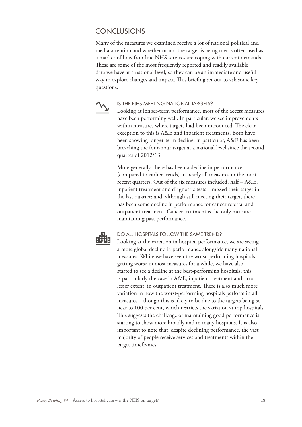#### **CONCLUSIONS**

Many of the measures we examined receive a lot of national political and media attention and whether or not the target is being met is often used as a marker of how frontline NHS services are coping with current demands. These are some of the most frequently reported and readily available data we have at a national level, so they can be an immediate and useful way to explore changes and impact. This briefing set out to ask some key questions:



#### IS THE NHS MEETING NATIONAL TARGETS?

Looking at longer-term performance, most of the access measures have been performing well. In particular, we see improvements within measures where targets had been introduced. The clear exception to this is A&E and inpatient treatments. Both have been showing longer-term decline; in particular, A&E has been breaching the four-hour target at a national level since the second quarter of 2012/13.

More generally, there has been a decline in performance (compared to earlier trends) in nearly all measures in the most recent quarters. Out of the six measures included, half – A&E, inpatient treatment and diagnostic tests – missed their target in the last quarter; and, although still meeting their target, there has been some decline in performance for cancer referral and outpatient treatment. Cancer treatment is the only measure maintaining past performance.



#### DO ALL HOSPITALS FOLLOW THE SAME TREND?

Looking at the variation in hospital performance, we are seeing a more global decline in performance alongside many national measures. While we have seen the worst-performing hospitals getting worse in most measures for a while, we have also started to see a decline at the best-performing hospitals; this is particularly the case in A&E, inpatient treatment and, to a lesser extent, in outpatient treatment. There is also much more variation in how the worst-performing hospitals perform in all measures – though this is likely to be due to the targets being so near to 100 per cent, which restricts the variation at top hospitals. This suggests the challenge of maintaining good performance is starting to show more broadly and in many hospitals. It is also important to note that, despite declining performance, the vast majority of people receive services and treatments within the target timeframes.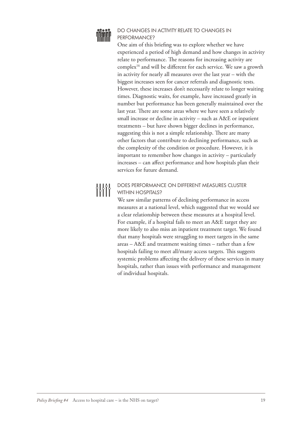

#### DO CHANGES IN ACTIVITY RELATE TO CHANGES IN PERFORMANCE?

One aim of this briefing was to explore whether we have experienced a period of high demand and how changes in activity relate to performance. The reasons for increasing activity are complex<sup>16</sup> and will be different for each service. We saw a growth in activity for nearly all measures over the last year – with the biggest increases seen for cancer referrals and diagnostic tests. However, these increases don't necessarily relate to longer waiting times. Diagnostic waits, for example, have increased greatly in number but performance has been generally maintained over the last year. There are some areas where we have seen a relatively small increase or decline in activity – such as A&E or inpatient treatments – but have shown bigger declines in performance, suggesting this is not a simple relationship. There are many other factors that contribute to declining performance, such as the complexity of the condition or procedure. However, it is important to remember how changes in activity – particularly increases – can affect performance and how hospitals plan their services for future demand.

### 

#### DOES PERFORMANCE ON DIFFERENT MEASURES CLUSTER WITHIN HOSPITALS?

We saw similar patterns of declining performance in access measures at a national level, which suggested that we would see a clear relationship between these measures at a hospital level. For example, if a hospital fails to meet an A&E target they are more likely to also miss an inpatient treatment target. We found that many hospitals were struggling to meet targets in the same areas – A&E and treatment waiting times – rather than a few hospitals failing to meet all/many access targets. This suggests systemic problems affecting the delivery of these services in many hospitals, rather than issues with performance and management of individual hospitals.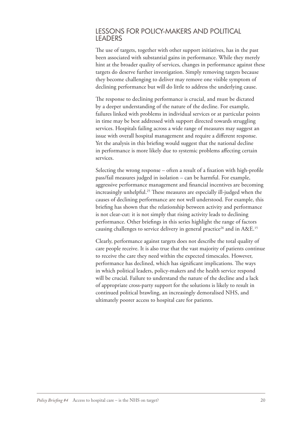#### LESSONS FOR POLICY-MAKERS AND POLITICAL LEADERS

The use of targets, together with other support initiatives, has in the past been associated with substantial gains in performance. While they merely hint at the broader quality of services, changes in performance against these targets do deserve further investigation. Simply removing targets because they become challenging to deliver may remove one visible symptom of declining performance but will do little to address the underlying cause.

The response to declining performance is crucial, and must be dictated by a deeper understanding of the nature of the decline. For example, failures linked with problems in individual services or at particular points in time may be best addressed with support directed towards struggling services. Hospitals failing across a wide range of measures may suggest an issue with overall hospital management and require a different response. Yet the analysis in this briefing would suggest that the national decline in performance is more likely due to systemic problems affecting certain services.

Selecting the wrong response – often a result of a fixation with high-profile pass/fail measures judged in isolation – can be harmful. For example, aggressive performance management and financial incentives are becoming increasingly unhelpful.25 These measures are especially ill-judged when the causes of declining performance are not well understood. For example, this briefing has shown that the relationship between activity and performance is not clear-cut: it is not simply that rising activity leads to declining performance. Other briefings in this series highlight the range of factors causing challenges to service delivery in general practice<sup>26</sup> and in  $A \& E$ <sup>15</sup>

Clearly, performance against targets does not describe the total quality of care people receive. It is also true that the vast majority of patients continue to receive the care they need within the expected timescales. However, performance has declined, which has significant implications. The ways in which political leaders, policy-makers and the health service respond will be crucial. Failure to understand the nature of the decline and a lack of appropriate cross-party support for the solutions is likely to result in continued political brawling, an increasingly demoralised NHS, and ultimately poorer access to hospital care for patients.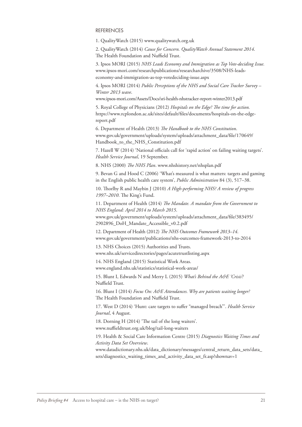#### REFERENCES

1. QualityWatch (2015) www.qualitywatch.org.uk

2. QualityWatch (2014) *Cause for Concern. QualityWatch Annual Statement 2014*. The Health Foundation and Nuffield Trust.

3. Ipsos MORI (2015) *NHS Leads Economy and Immigration as Top Vote-deciding Issue.* www.ipsos-mori.com/researchpublications/researcharchive/3508/NHS-leadseconomy-and-immigration-as-top-votedeciding-issue.aspx

4. Ipsos MORI (2014) *Public Perceptions of the NHS and Social Care Tracker Survey – Winter 2013 wave*.

www.ipsos-mori.com/Assets/Docs/sri-health-nhstracker-report-winter2013.pdf

5. Royal College of Physicians (2012) *Hospitals on the Edge? The time for action.* https://www.rcplondon.ac.uk/sites/default/files/documents/hospitals-on-the-edgereport.pdf

6. Department of Health (2013) *The Handbook to the NHS Constitution*. [www.gov.uk/government/uploads/system/uploads/attachment\\_data/file/170649/](www.gov.uk/government/uploads/system/uploads/attachment_data/file/170649/Handbook_to_the_NHS_Constitution.pdf) Handbook to the NHS Constitution.pdf

7. Hazell W (2014) 'National officials call for 'rapid action' on failing waiting targets'. *Health Service Journal*, 19 September.

8. NHS (2000) *The NHS Plan*. www.nhshistory.net/nhsplan.pdf

9. Bevan G and Hood C (2006) 'What's measured is what matters: targets and gaming in the English public health care system', *Public Administration* 84 (3), 517–38.

10. Thorlby R and Maybin J (2010) *A High-performing NHS? A review of progress 1997–2010*. The King's Fund.

11. Department of Health (2014) *The Mandate. A mandate from the Government to NHS England: April 2014 to March 2015*. [www.gov.uk/government/uploads/system/uploads/attachment\\_data/file/383495/](www.gov.uk/government/uploads/system/uploads/attachment_data/file/383495/2902896_DoH_Mandate_Accessible_v0.2.pdf) 2902896\_DoH\_Mandate\_Accessible\_v0.2.pdf

12. Department of Health (2012) *The NHS Outcomes Framework 2013–14*. www.gov.uk/government/publications/nhs-outcomes-framework-2013-to-2014

13. NHS Choices (2015) Authorities and Trusts. www.nhs.uk/servicedirectories/pages/acutetrustlisting.aspx

14. NHS England (2015) Statistical Work Areas. www.england.nhs.uk/statistics/statistical-work-areas/

15. Blunt I, Edwards N and Merry L (2015) *What's Behind the A&E 'Crisis'?* Nuffield Trust.

16. Blunt I (2014) *Focus On: A&E Attendances. Why are patients waiting longer?* The Health Foundation and Nuffield Trust.

17. West D (2014) 'Hunt: care targets to suffer "managed breach"'. *Health Service Journal*, 4 August.

18. Dorning H (2014) 'The tail of the long waiters'. www.nuffieldtrust.org.uk/blog/tail-long-waiters

19. Health & Social Care Information Centre (2015) *Diagnostics Waiting Times and Activity Data Set Overview*.

[www.datadictionary.nhs.uk/data\\_dictionary/messages/central\\_return\\_data\\_sets/data\\_](www.datadictionary.nhs.uk/data_dictionary/messages/central_return_data_sets/data_sets/diagnostics_waiting_times_and_activity_data_set_fr.asp?shownav=1) sets/diagnostics\_waiting\_times\_and\_activity\_data\_set\_fr.asp?shownav=1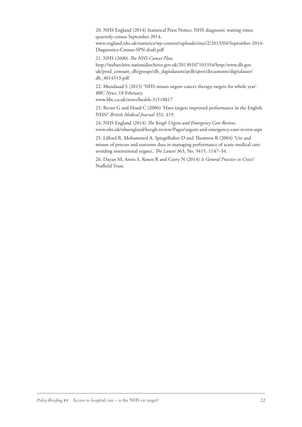20. NHS England (2014) Statistical Press Notice: NHS diagnostic waiting times quarterly census September 2014.

www.england.nhs.uk/statistics/wp-content/uploads/sites/2/2013/04/September-2014- Diagnostics-Census-SPN-draft.pdf

21. NHS (2000) *The NHS Cancer Plan*.

http://webarchive.nationalarchives.gov.uk/20130107105354/http:/www.dh.gov. [uk/prod\\_consum\\_dh/groups/dh\\_digitalassets/@dh/@en/documents/digitalasset/](http://webarchive.nationalarchives.gov.uk/20130107105354/http:/www.dh.gov.uk/prod_consum_dh/groups/dh_digitalassets/@dh/@en/documents/digitalasset/dh_4014513.pdf) dh\_4014513.pdf

22. Mundasad S (2015) 'NHS misses urgent cancer therapy targets for whole year'. *BBC News*, 18 February.

www.bbc.co.uk/news/health-31518817

23. Bevan G and Hood C (2006) 'Have targets improved performance in the English NHS?' *British Medical Journal* 332, 419.

24. NHS England (2014) *The Keogh Urgent and Emergency Care Review.* www.nhs.uk/nhsengland/keogh-review/Pages/urgent-and-emergency-care-review.aspx

25. Lilford R, Mohammed A, Spiegelhalter D and Thomson R (2004) 'Use and misuse of process and outcome data in managing performance of acute medical care: avoiding institutional stigma', *The Lancet* 363, No. 9415, 1147–54.

26. Dayan M, Arora S, Rosen R and Curry N (2014) *Is General Practice in Crisis?* Nuffield Trust.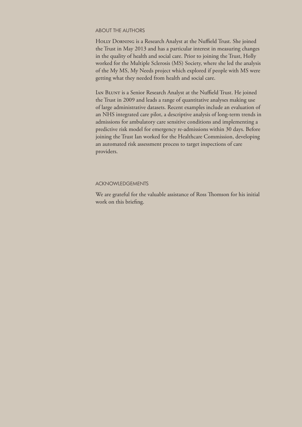#### ABOUT THE AUTHORS

HOLLY DORNING is a Research Analyst at the Nuffield Trust. She joined the Trust in May 2013 and has a particular interest in measuring changes in the quality of health and social care. Prior to joining the Trust, Holly worked for the Multiple Sclerosis (MS) Society, where she led the analysis of the My MS, My Needs project which explored if people with MS were getting what they needed from health and social care.

Ian Blunt is a Senior Research Analyst at the Nuffield Trust. He joined the Trust in 2009 and leads a range of quantitative analyses making use of large administrative datasets. Recent examples include an evaluation of an NHS integrated care pilot, a descriptive analysis of long-term trends in admissions for ambulatory care sensitive conditions and implementing a predictive risk model for emergency re-admissions within 30 days. Before joining the Trust Ian worked for the Healthcare Commission, developing an automated risk assessment process to target inspections of care providers.

#### ACKNOWLEDGEMENTS

We are grateful for the valuable assistance of Ross Thomson for his initial work on this briefing.